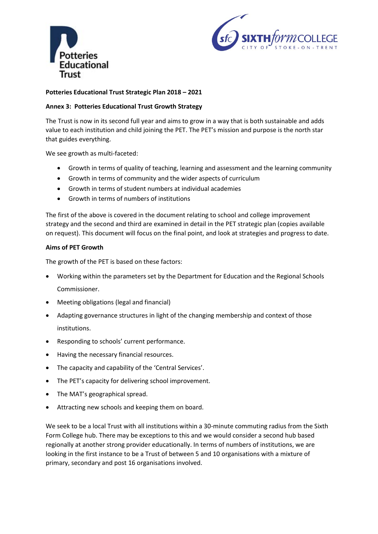



## **Potteries Educational Trust Strategic Plan 2018 – 2021**

## **Annex 3: Potteries Educational Trust Growth Strategy**

The Trust is now in its second full year and aims to grow in a way that is both sustainable and adds value to each institution and child joining the PET. The PET's mission and purpose is the north star that guides everything.

We see growth as multi-faceted:

- Growth in terms of quality of teaching, learning and assessment and the learning community
- Growth in terms of community and the wider aspects of curriculum
- Growth in terms of student numbers at individual academies
- Growth in terms of numbers of institutions

The first of the above is covered in the document relating to school and college improvement strategy and the second and third are examined in detail in the PET strategic plan (copies available on request). This document will focus on the final point, and look at strategies and progress to date.

#### **Aims of PET Growth**

The growth of the PET is based on these factors:

- Working within the parameters set by the Department for Education and the Regional Schools Commissioner.
- Meeting obligations (legal and financial)
- Adapting governance structures in light of the changing membership and context of those institutions.
- Responding to schools' current performance.
- Having the necessary financial resources.
- The capacity and capability of the 'Central Services'.
- The PET's capacity for delivering school improvement.
- The MAT's geographical spread.
- Attracting new schools and keeping them on board.

We seek to be a local Trust with all institutions within a 30-minute commuting radius from the Sixth Form College hub. There may be exceptions to this and we would consider a second hub based regionally at another strong provider educationally. In terms of numbers of institutions, we are looking in the first instance to be a Trust of between 5 and 10 organisations with a mixture of primary, secondary and post 16 organisations involved.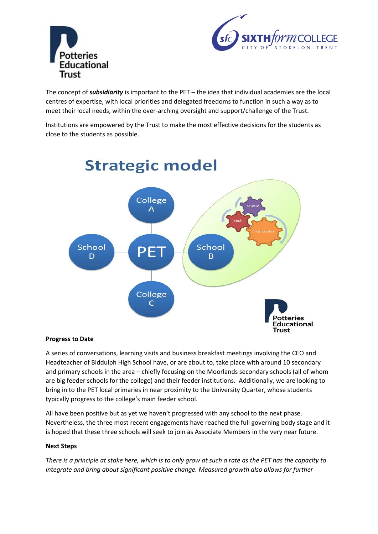



The concept of *subsidiarity* is important to the PET – the idea that individual academies are the local centres of expertise, with local priorities and delegated freedoms to function in such a way as to meet their local needs, within the over-arching oversight and support/challenge of the Trust.

Institutions are empowered by the Trust to make the most effective decisions for the students as close to the students as possible.



# **Strategic model**

### **Progress to Date**

A series of conversations, learning visits and business breakfast meetings involving the CEO and Headteacher of Biddulph High School have, or are about to, take place with around 10 secondary and primary schools in the area – chiefly focusing on the Moorlands secondary schools (all of whom are big feeder schools for the college) and their feeder institutions. Additionally, we are looking to bring in to the PET local primaries in near proximity to the University Quarter, whose students typically progress to the college's main feeder school.

All have been positive but as yet we haven't progressed with any school to the next phase. Nevertheless, the three most recent engagements have reached the full governing body stage and it is hoped that these three schools will seek to join as Associate Members in the very near future.

### **Next Steps**

*There is a principle at stake here, which is to only grow at such a rate as the PET has the capacity to integrate and bring about significant positive change. Measured growth also allows for further*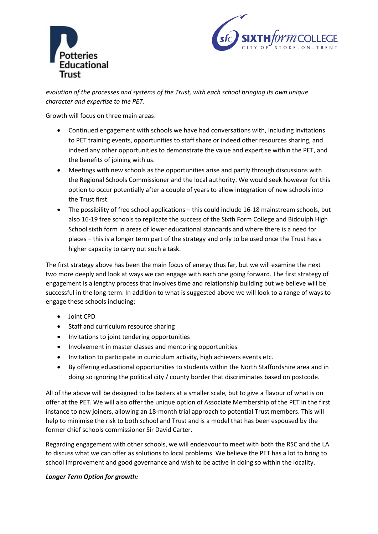



*evolution of the processes and systems of the Trust, with each school bringing its own unique character and expertise to the PET.*

Growth will focus on three main areas:

- Continued engagement with schools we have had conversations with, including invitations to PET training events, opportunities to staff share or indeed other resources sharing, and indeed any other opportunities to demonstrate the value and expertise within the PET, and the benefits of joining with us.
- Meetings with new schools as the opportunities arise and partly through discussions with the Regional Schools Commissioner and the local authority. We would seek however for this option to occur potentially after a couple of years to allow integration of new schools into the Trust first.
- The possibility of free school applications this could include 16-18 mainstream schools, but also 16-19 free schools to replicate the success of the Sixth Form College and Biddulph High School sixth form in areas of lower educational standards and where there is a need for places – this is a longer term part of the strategy and only to be used once the Trust has a higher capacity to carry out such a task.

The first strategy above has been the main focus of energy thus far, but we will examine the next two more deeply and look at ways we can engage with each one going forward. The first strategy of engagement is a lengthy process that involves time and relationship building but we believe will be successful in the long-term. In addition to what is suggested above we will look to a range of ways to engage these schools including:

- Joint CPD
- Staff and curriculum resource sharing
- Invitations to joint tendering opportunities
- Involvement in master classes and mentoring opportunities
- Invitation to participate in curriculum activity, high achievers events etc.
- By offering educational opportunities to students within the North Staffordshire area and in doing so ignoring the political city / county border that discriminates based on postcode.

All of the above will be designed to be tasters at a smaller scale, but to give a flavour of what is on offer at the PET. We will also offer the unique option of Associate Membership of the PET in the first instance to new joiners, allowing an 18-month trial approach to potential Trust members. This will help to minimise the risk to both school and Trust and is a model that has been espoused by the former chief schools commissioner Sir David Carter.

Regarding engagement with other schools, we will endeavour to meet with both the RSC and the LA to discuss what we can offer as solutions to local problems. We believe the PET has a lot to bring to school improvement and good governance and wish to be active in doing so within the locality.

### *Longer Term Option for growth:*